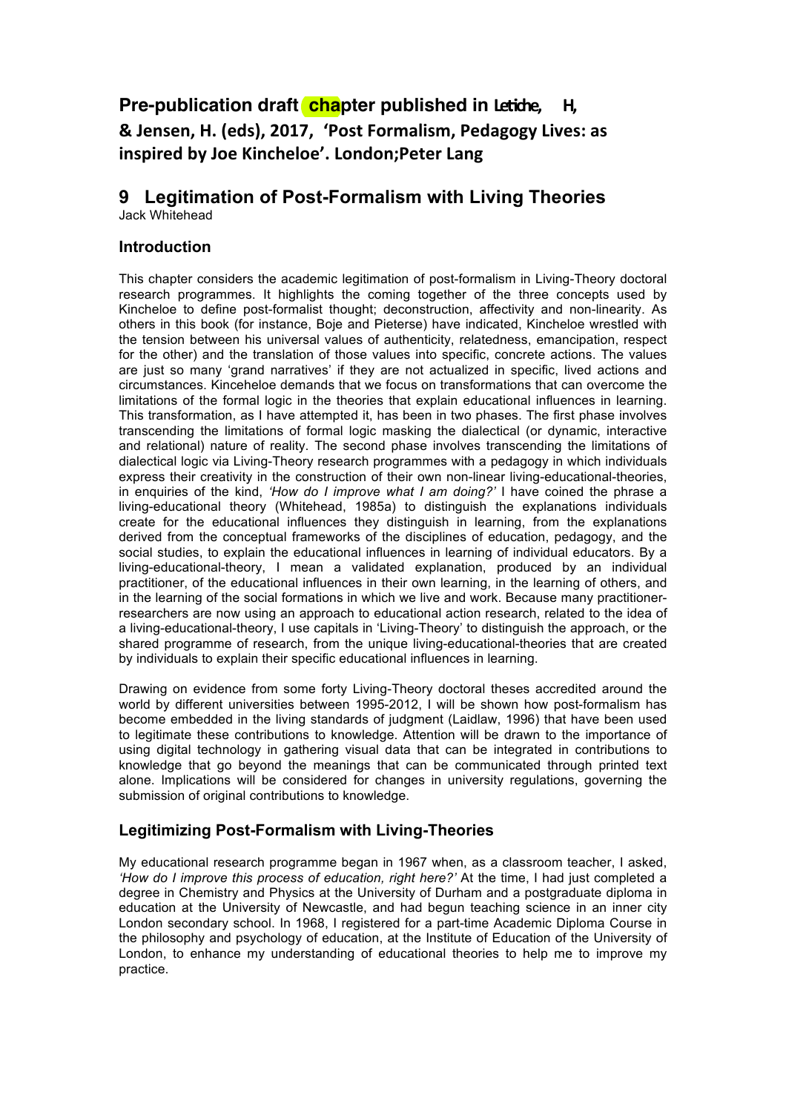# $\&$  Jensen, H. (eds), 2017, 'Post Formalism, Pedagogy Lives: as **inspired by Joe Kincheloe'. London;Peter Lang Pre-publication draft chapter published in Letiche, H,**

# **9 Legitimation of Post-Formalism with Living Theories**

Jack Whitehead

## **Introduction**

This chapter considers the academic legitimation of post-formalism in Living-Theory doctoral research programmes. It highlights the coming together of the three concepts used by Kincheloe to define post-formalist thought; deconstruction, affectivity and non-linearity. As others in this book (for instance, Boje and Pieterse) have indicated, Kincheloe wrestled with the tension between his universal values of authenticity, relatedness, emancipation, respect for the other) and the translation of those values into specific, concrete actions. The values are just so many 'grand narratives' if they are not actualized in specific, lived actions and circumstances. Kinceheloe demands that we focus on transformations that can overcome the limitations of the formal logic in the theories that explain educational influences in learning. This transformation, as I have attempted it, has been in two phases. The first phase involves transcending the limitations of formal logic masking the dialectical (or dynamic, interactive and relational) nature of reality. The second phase involves transcending the limitations of dialectical logic via Living-Theory research programmes with a pedagogy in which individuals express their creativity in the construction of their own non-linear living-educational-theories, in enquiries of the kind, *'How do I improve what I am doing?'* I have coined the phrase a living-educational theory (Whitehead, 1985a) to distinguish the explanations individuals create for the educational influences they distinguish in learning, from the explanations derived from the conceptual frameworks of the disciplines of education, pedagogy, and the social studies, to explain the educational influences in learning of individual educators. By a living-educational-theory, I mean a validated explanation, produced by an individual practitioner, of the educational influences in their own learning, in the learning of others, and in the learning of the social formations in which we live and work. Because many practitionerresearchers are now using an approach to educational action research, related to the idea of a living-educational-theory, I use capitals in 'Living-Theory' to distinguish the approach, or the shared programme of research, from the unique living-educational-theories that are created by individuals to explain their specific educational influences in learning.

Drawing on evidence from some forty Living-Theory doctoral theses accredited around the world by different universities between 1995-2012, I will be shown how post-formalism has become embedded in the living standards of judgment (Laidlaw, 1996) that have been used to legitimate these contributions to knowledge. Attention will be drawn to the importance of using digital technology in gathering visual data that can be integrated in contributions to knowledge that go beyond the meanings that can be communicated through printed text alone. Implications will be considered for changes in university regulations, governing the submission of original contributions to knowledge.

## **Legitimizing Post-Formalism with Living-Theories**

My educational research programme began in 1967 when, as a classroom teacher, I asked, *'How do I improve this process of education, right here?'* At the time, I had just completed a degree in Chemistry and Physics at the University of Durham and a postgraduate diploma in education at the University of Newcastle, and had begun teaching science in an inner city London secondary school. In 1968, I registered for a part-time Academic Diploma Course in the philosophy and psychology of education, at the Institute of Education of the University of London, to enhance my understanding of educational theories to help me to improve my practice.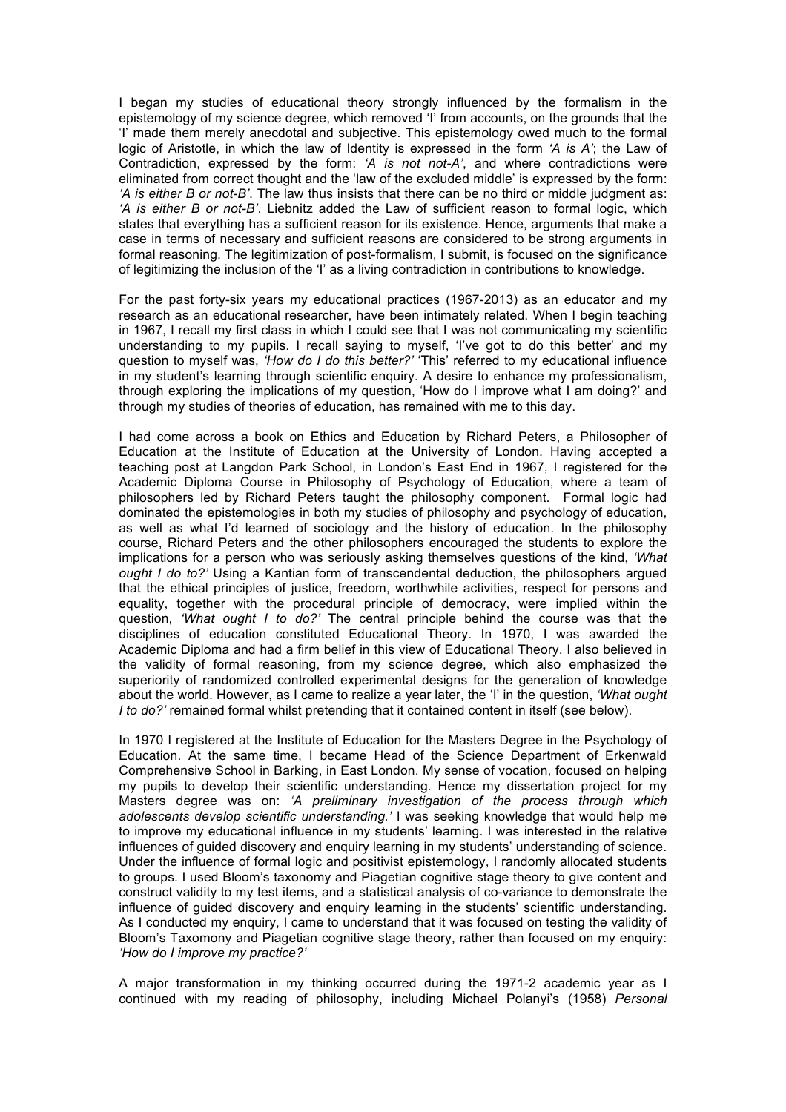I began my studies of educational theory strongly influenced by the formalism in the epistemology of my science degree, which removed 'I' from accounts, on the grounds that the 'I' made them merely anecdotal and subjective. This epistemology owed much to the formal logic of Aristotle, in which the law of Identity is expressed in the form *'A is A'*; the Law of Contradiction, expressed by the form: *'A is not not-A'*, and where contradictions were eliminated from correct thought and the 'law of the excluded middle' is expressed by the form: *'A is either B or not-B'*. The law thus insists that there can be no third or middle judgment as: *'A is either B or not-B'*. Liebnitz added the Law of sufficient reason to formal logic, which states that everything has a sufficient reason for its existence. Hence, arguments that make a case in terms of necessary and sufficient reasons are considered to be strong arguments in formal reasoning. The legitimization of post-formalism, I submit, is focused on the significance of legitimizing the inclusion of the 'I' as a living contradiction in contributions to knowledge.

For the past forty-six years my educational practices (1967-2013) as an educator and my research as an educational researcher, have been intimately related. When I begin teaching in 1967, I recall my first class in which I could see that I was not communicating my scientific understanding to my pupils. I recall saying to myself, 'I've got to do this better' and my question to myself was, *'How do I do this better?'* 'This' referred to my educational influence in my student's learning through scientific enquiry. A desire to enhance my professionalism, through exploring the implications of my question, 'How do I improve what I am doing?' and through my studies of theories of education, has remained with me to this day.

I had come across a book on Ethics and Education by Richard Peters, a Philosopher of Education at the Institute of Education at the University of London. Having accepted a teaching post at Langdon Park School, in London's East End in 1967, I registered for the Academic Diploma Course in Philosophy of Psychology of Education, where a team of philosophers led by Richard Peters taught the philosophy component. Formal logic had dominated the epistemologies in both my studies of philosophy and psychology of education, as well as what I'd learned of sociology and the history of education. In the philosophy course, Richard Peters and the other philosophers encouraged the students to explore the implications for a person who was seriously asking themselves questions of the kind, *'What ought I do to?'* Using a Kantian form of transcendental deduction, the philosophers argued that the ethical principles of justice, freedom, worthwhile activities, respect for persons and equality, together with the procedural principle of democracy, were implied within the question, *'What ought I to do?'* The central principle behind the course was that the disciplines of education constituted Educational Theory. In 1970, I was awarded the Academic Diploma and had a firm belief in this view of Educational Theory. I also believed in the validity of formal reasoning, from my science degree, which also emphasized the superiority of randomized controlled experimental designs for the generation of knowledge about the world. However, as I came to realize a year later, the 'I' in the question, *'What ought I to do?'* remained formal whilst pretending that it contained content in itself (see below).

In 1970 I registered at the Institute of Education for the Masters Degree in the Psychology of Education. At the same time, I became Head of the Science Department of Erkenwald Comprehensive School in Barking, in East London. My sense of vocation, focused on helping my pupils to develop their scientific understanding. Hence my dissertation project for my Masters degree was on: *'A preliminary investigation of the process through which adolescents develop scientific understanding.'* I was seeking knowledge that would help me to improve my educational influence in my students' learning. I was interested in the relative influences of guided discovery and enquiry learning in my students' understanding of science. Under the influence of formal logic and positivist epistemology, I randomly allocated students to groups. I used Bloom's taxonomy and Piagetian cognitive stage theory to give content and construct validity to my test items, and a statistical analysis of co-variance to demonstrate the influence of guided discovery and enquiry learning in the students' scientific understanding. As I conducted my enquiry, I came to understand that it was focused on testing the validity of Bloom's Taxomony and Piagetian cognitive stage theory, rather than focused on my enquiry: *'How do I improve my practice?'*

A major transformation in my thinking occurred during the 1971-2 academic year as I continued with my reading of philosophy, including Michael Polanyi's (1958) *Personal*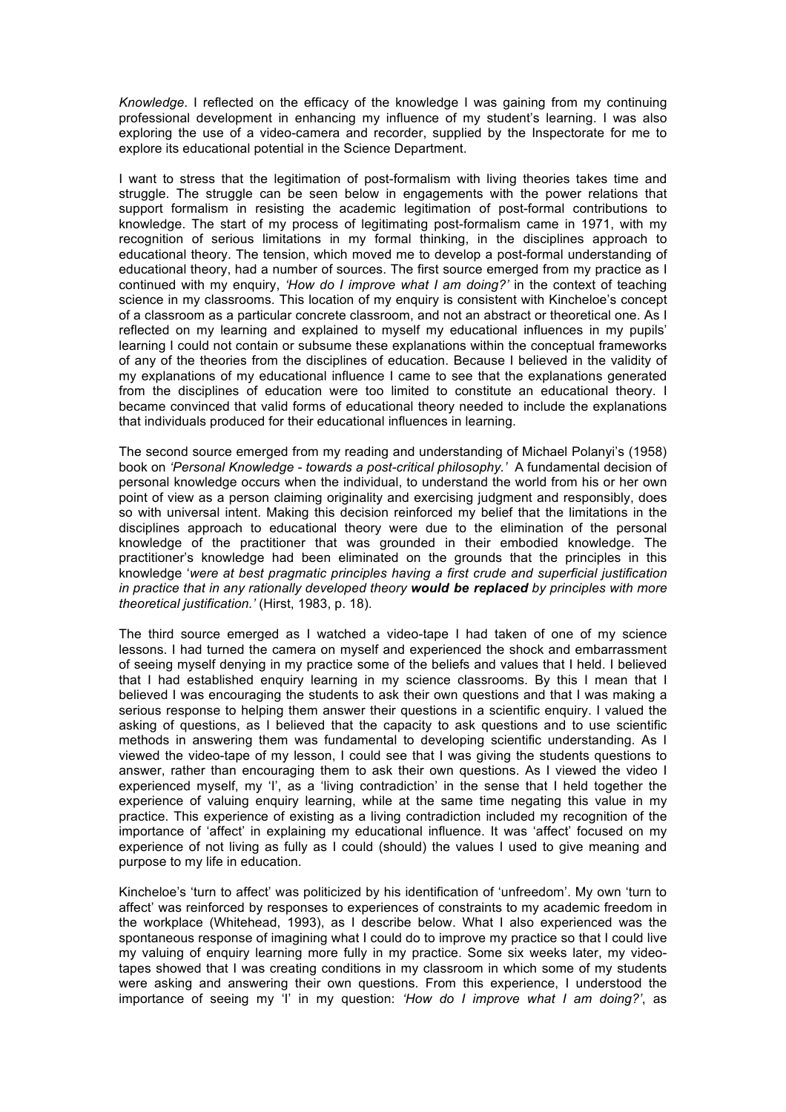*Knowledge*. I reflected on the efficacy of the knowledge I was gaining from my continuing professional development in enhancing my influence of my student's learning. I was also exploring the use of a video-camera and recorder, supplied by the Inspectorate for me to explore its educational potential in the Science Department.

I want to stress that the legitimation of post-formalism with living theories takes time and struggle. The struggle can be seen below in engagements with the power relations that support formalism in resisting the academic legitimation of post-formal contributions to knowledge. The start of my process of legitimating post-formalism came in 1971, with my recognition of serious limitations in my formal thinking, in the disciplines approach to educational theory. The tension, which moved me to develop a post-formal understanding of educational theory, had a number of sources. The first source emerged from my practice as I continued with my enquiry, *'How do I improve what I am doing?'* in the context of teaching science in my classrooms. This location of my enquiry is consistent with Kincheloe's concept of a classroom as a particular concrete classroom, and not an abstract or theoretical one. As I reflected on my learning and explained to myself my educational influences in my pupils' learning I could not contain or subsume these explanations within the conceptual frameworks of any of the theories from the disciplines of education. Because I believed in the validity of my explanations of my educational influence I came to see that the explanations generated from the disciplines of education were too limited to constitute an educational theory. I became convinced that valid forms of educational theory needed to include the explanations that individuals produced for their educational influences in learning.

The second source emerged from my reading and understanding of Michael Polanyi's (1958) book on *'Personal Knowledge - towards a post-critical philosophy.'* A fundamental decision of personal knowledge occurs when the individual, to understand the world from his or her own point of view as a person claiming originality and exercising judgment and responsibly, does so with universal intent. Making this decision reinforced my belief that the limitations in the disciplines approach to educational theory were due to the elimination of the personal knowledge of the practitioner that was grounded in their embodied knowledge. The practitioner's knowledge had been eliminated on the grounds that the principles in this knowledge '*were at best pragmatic principles having a first crude and superficial justification in practice that in any rationally developed theory would be replaced by principles with more theoretical justification.'* (Hirst, 1983, p. 18).

The third source emerged as I watched a video-tape I had taken of one of my science lessons. I had turned the camera on myself and experienced the shock and embarrassment of seeing myself denying in my practice some of the beliefs and values that I held. I believed that I had established enquiry learning in my science classrooms. By this I mean that I believed I was encouraging the students to ask their own questions and that I was making a serious response to helping them answer their questions in a scientific enquiry. I valued the asking of questions, as I believed that the capacity to ask questions and to use scientific methods in answering them was fundamental to developing scientific understanding. As I viewed the video-tape of my lesson, I could see that I was giving the students questions to answer, rather than encouraging them to ask their own questions. As I viewed the video I experienced myself, my 'I', as a 'living contradiction' in the sense that I held together the experience of valuing enquiry learning, while at the same time negating this value in my practice. This experience of existing as a living contradiction included my recognition of the importance of 'affect' in explaining my educational influence. It was 'affect' focused on my experience of not living as fully as I could (should) the values I used to give meaning and purpose to my life in education.

Kincheloe's 'turn to affect' was politicized by his identification of 'unfreedom'. My own 'turn to affect' was reinforced by responses to experiences of constraints to my academic freedom in the workplace (Whitehead, 1993), as I describe below. What I also experienced was the spontaneous response of imagining what I could do to improve my practice so that I could live my valuing of enquiry learning more fully in my practice. Some six weeks later, my videotapes showed that I was creating conditions in my classroom in which some of my students were asking and answering their own questions. From this experience, I understood the importance of seeing my 'I' in my question: *'How do I improve what I am doing?'*, as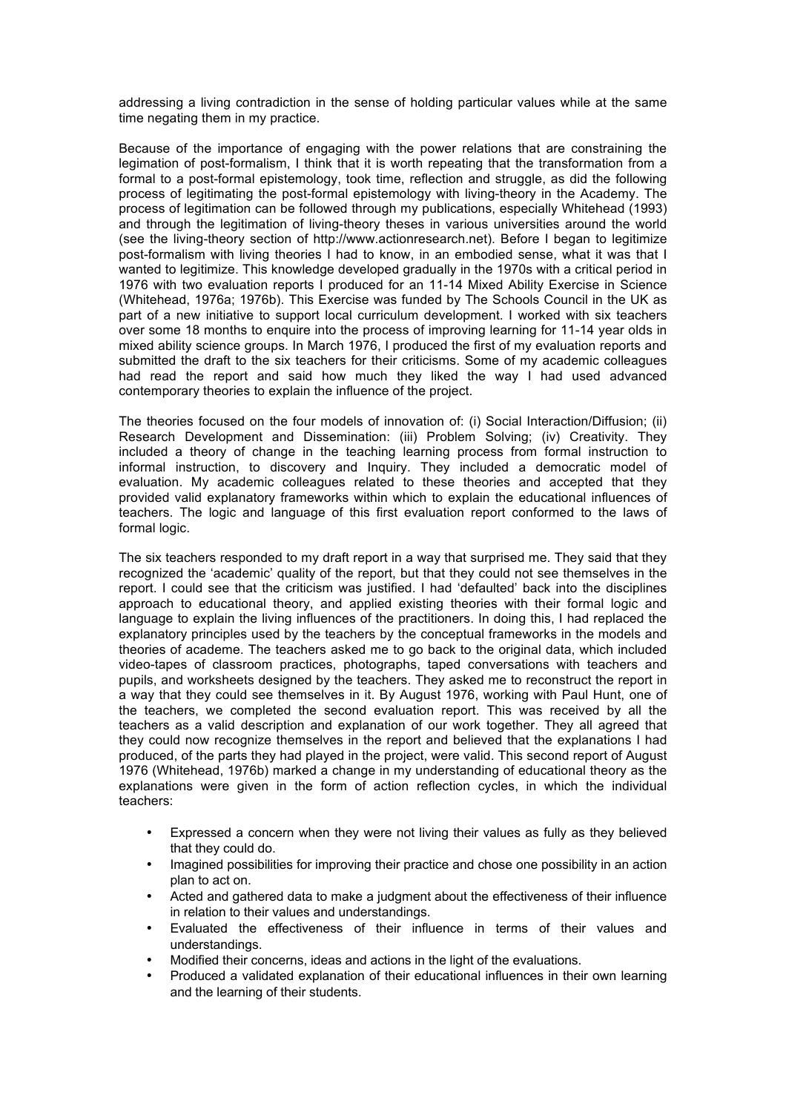addressing a living contradiction in the sense of holding particular values while at the same time negating them in my practice.

Because of the importance of engaging with the power relations that are constraining the legimation of post-formalism, I think that it is worth repeating that the transformation from a formal to a post-formal epistemology, took time, reflection and struggle, as did the following process of legitimating the post-formal epistemology with living-theory in the Academy. The process of legitimation can be followed through my publications, especially Whitehead (1993) and through the legitimation of living-theory theses in various universities around the world (see the living-theory section of http://www.actionresearch.net). Before I began to legitimize post-formalism with living theories I had to know, in an embodied sense, what it was that I wanted to legitimize. This knowledge developed gradually in the 1970s with a critical period in 1976 with two evaluation reports I produced for an 11-14 Mixed Ability Exercise in Science (Whitehead, 1976a; 1976b). This Exercise was funded by The Schools Council in the UK as part of a new initiative to support local curriculum development. I worked with six teachers over some 18 months to enquire into the process of improving learning for 11-14 year olds in mixed ability science groups. In March 1976, I produced the first of my evaluation reports and submitted the draft to the six teachers for their criticisms. Some of my academic colleagues had read the report and said how much they liked the way I had used advanced contemporary theories to explain the influence of the project.

The theories focused on the four models of innovation of: (i) Social Interaction/Diffusion; (ii) Research Development and Dissemination: (iii) Problem Solving; (iv) Creativity. They included a theory of change in the teaching learning process from formal instruction to informal instruction, to discovery and Inquiry. They included a democratic model of evaluation. My academic colleagues related to these theories and accepted that they provided valid explanatory frameworks within which to explain the educational influences of teachers. The logic and language of this first evaluation report conformed to the laws of formal logic.

The six teachers responded to my draft report in a way that surprised me. They said that they recognized the 'academic' quality of the report, but that they could not see themselves in the report. I could see that the criticism was justified. I had 'defaulted' back into the disciplines approach to educational theory, and applied existing theories with their formal logic and language to explain the living influences of the practitioners. In doing this, I had replaced the explanatory principles used by the teachers by the conceptual frameworks in the models and theories of academe. The teachers asked me to go back to the original data, which included video-tapes of classroom practices, photographs, taped conversations with teachers and pupils, and worksheets designed by the teachers. They asked me to reconstruct the report in a way that they could see themselves in it. By August 1976, working with Paul Hunt, one of the teachers, we completed the second evaluation report. This was received by all the teachers as a valid description and explanation of our work together. They all agreed that they could now recognize themselves in the report and believed that the explanations I had produced, of the parts they had played in the project, were valid. This second report of August 1976 (Whitehead, 1976b) marked a change in my understanding of educational theory as the explanations were given in the form of action reflection cycles, in which the individual teachers:

- Expressed a concern when they were not living their values as fully as they believed that they could do.
- Imagined possibilities for improving their practice and chose one possibility in an action plan to act on.
- Acted and gathered data to make a judgment about the effectiveness of their influence in relation to their values and understandings.
- Evaluated the effectiveness of their influence in terms of their values and understandings.
- Modified their concerns, ideas and actions in the light of the evaluations.
- Produced a validated explanation of their educational influences in their own learning and the learning of their students.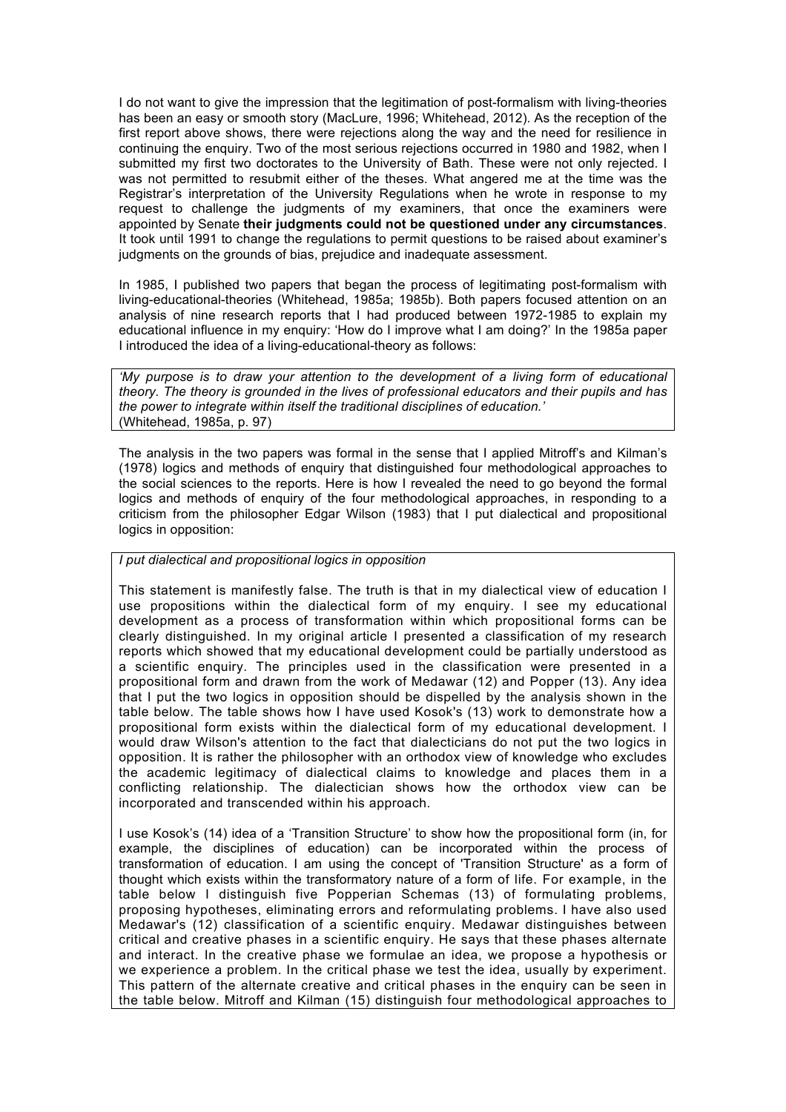I do not want to give the impression that the legitimation of post-formalism with living-theories has been an easy or smooth story (MacLure, 1996; Whitehead, 2012). As the reception of the first report above shows, there were rejections along the way and the need for resilience in continuing the enquiry. Two of the most serious rejections occurred in 1980 and 1982, when I submitted my first two doctorates to the University of Bath. These were not only rejected. I was not permitted to resubmit either of the theses. What angered me at the time was the Registrar's interpretation of the University Regulations when he wrote in response to my request to challenge the judgments of my examiners, that once the examiners were appointed by Senate **their judgments could not be questioned under any circumstances**. It took until 1991 to change the regulations to permit questions to be raised about examiner's judgments on the grounds of bias, prejudice and inadequate assessment.

In 1985, I published two papers that began the process of legitimating post-formalism with living-educational-theories (Whitehead, 1985a; 1985b). Both papers focused attention on an analysis of nine research reports that I had produced between 1972-1985 to explain my educational influence in my enquiry: 'How do I improve what I am doing?' In the 1985a paper I introduced the idea of a living-educational-theory as follows:

*'My purpose is to draw your attention to the development of a living form of educational theory. The theory is grounded in the lives of professional educators and their pupils and has the power to integrate within itself the traditional disciplines of education.'* (Whitehead, 1985a, p. 97)

The analysis in the two papers was formal in the sense that I applied Mitroff's and Kilman's (1978) logics and methods of enquiry that distinguished four methodological approaches to the social sciences to the reports. Here is how I revealed the need to go beyond the formal logics and methods of enquiry of the four methodological approaches, in responding to a criticism from the philosopher Edgar Wilson (1983) that I put dialectical and propositional logics in opposition:

#### *I put dialectical and propositional logics in opposition*

This statement is manifestly false. The truth is that in my dialectical view of education I use propositions within the dialectical form of my enquiry. I see my educational development as a process of transformation within which propositional forms can be clearly distinguished. In my original article I presented a classification of my research reports which showed that my educational development could be partially understood as a scientific enquiry. The principles used in the classification were presented in a propositional form and drawn from the work of Medawar (12) and Popper (13). Any idea that I put the two logics in opposition should be dispelled by the analysis shown in the table below. The table shows how I have used Kosok's (13) work to demonstrate how a propositional form exists within the dialectical form of my educational development. I would draw Wilson's attention to the fact that dialecticians do not put the two logics in opposition. It is rather the philosopher with an orthodox view of knowledge who excludes the academic legitimacy of dialectical claims to knowledge and places them in a conflicting relationship. The dialectician shows how the orthodox view can be incorporated and transcended within his approach.

I use Kosok's (14) idea of a 'Transition Structure' to show how the propositional form (in, for example, the disciplines of education) can be incorporated within the process of transformation of education. I am using the concept of 'Transition Structure' as a form of thought which exists within the transformatory nature of a form of life. For example, in the table below I distinguish five Popperian Schemas (13) of formulating problems, proposing hypotheses, eliminating errors and reformulating problems. I have also used Medawar's (12) classification of a scientific enquiry. Medawar distinguishes between critical and creative phases in a scientific enquiry. He says that these phases alternate and interact. In the creative phase we formulae an idea, we propose a hypothesis or we experience a problem. In the critical phase we test the idea, usually by experiment. This pattern of the alternate creative and critical phases in the enquiry can be seen in the table below. Mitroff and Kilman (15) distinguish four methodological approaches to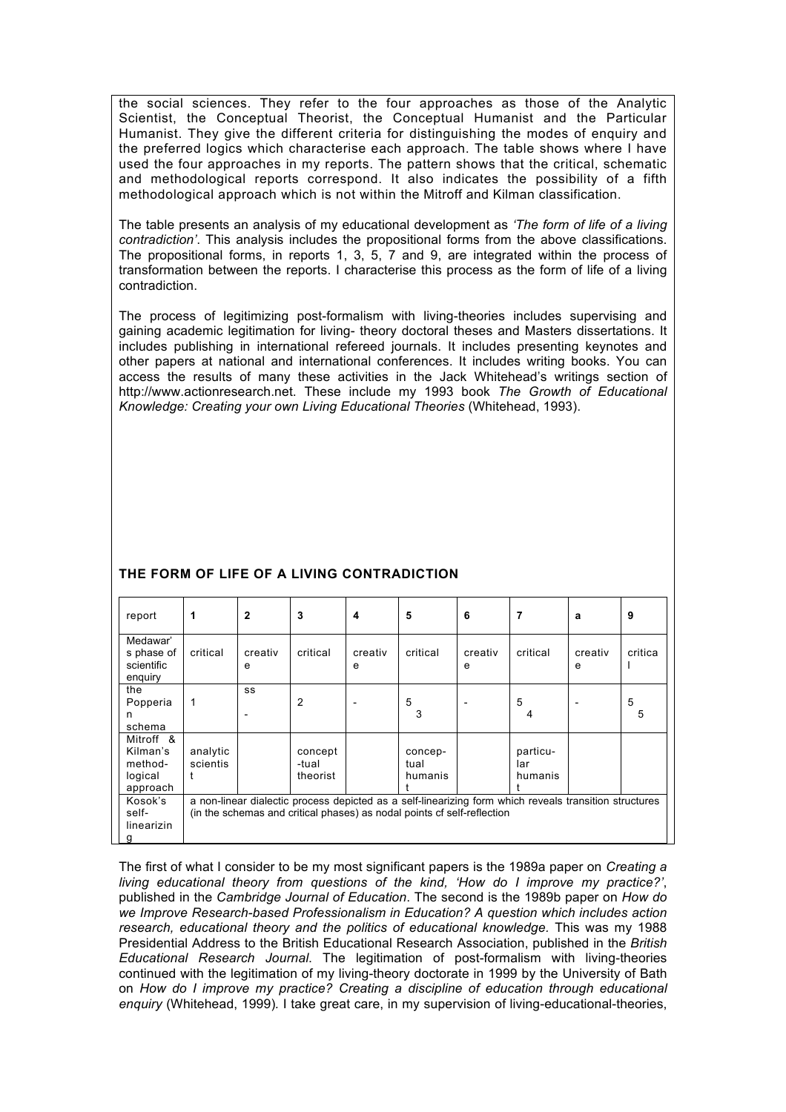the social sciences. They refer to the four approaches as those of the Analytic Scientist, the Conceptual Theorist, the Conceptual Humanist and the Particular Humanist. They give the different criteria for distinguishing the modes of enquiry and the preferred logics which characterise each approach. The table shows where I have used the four approaches in my reports. The pattern shows that the critical, schematic and methodological reports correspond. It also indicates the possibility of a fifth methodological approach which is not within the Mitroff and Kilman classification.

The table presents an analysis of my educational development as *'The form of life of a living contradiction'*. This analysis includes the propositional forms from the above classifications. The propositional forms, in reports 1, 3, 5, 7 and 9, are integrated within the process of transformation between the reports. I characterise this process as the form of life of a living contradiction.

The process of legitimizing post-formalism with living-theories includes supervising and gaining academic legitimation for living- theory doctoral theses and Masters dissertations. It includes publishing in international refereed journals. It includes presenting keynotes and other papers at national and international conferences. It includes writing books. You can access the results of many these activities in the Jack Whitehead's writings section of http://www.actionresearch.net. These include my 1993 book *The Growth of Educational Knowledge: Creating your own Living Educational Theories* (Whitehead, 1993).

| report                                                  | 1                                                                                                                                                                                 | $\mathbf{2}$ | 3                            | 4            | 5                          | 6            | 7                          | a            | 9       |
|---------------------------------------------------------|-----------------------------------------------------------------------------------------------------------------------------------------------------------------------------------|--------------|------------------------------|--------------|----------------------------|--------------|----------------------------|--------------|---------|
| Medawar'<br>s phase of<br>scientific<br>enguiry         | critical                                                                                                                                                                          | creativ<br>e | critical                     | creativ<br>e | critical                   | creativ<br>e | critical                   | creativ<br>e | critica |
| the<br>Popperia<br>n<br>schema                          | 1                                                                                                                                                                                 | SS           | 2                            |              | 5<br>3                     |              | 5<br>4                     |              | 5<br>5  |
| Mitroff &<br>Kilman's<br>method-<br>logical<br>approach | analytic<br>scientis<br>t                                                                                                                                                         |              | concept<br>-tual<br>theorist |              | concep-<br>tual<br>humanis |              | particu-<br>lar<br>humanis |              |         |
| Kosok's<br>self-<br>linearizin<br>g                     | a non-linear dialectic process depicted as a self-linearizing form which reveals transition structures<br>(in the schemas and critical phases) as nodal points of self-reflection |              |                              |              |                            |              |                            |              |         |

### **THE FORM OF LIFE OF A LIVING CONTRADICTION**

The first of what I consider to be my most significant papers is the 1989a paper on *Creating a living educational theory from questions of the kind, 'How do I improve my practice?'*, published in the *Cambridge Journal of Education*. The second is the 1989b paper on *How do we Improve Research-based Professionalism in Education? A question which includes action research, educational theory and the politics of educational knowledge.* This was my 1988 Presidential Address to the British Educational Research Association, published in the *British Educational Research Journal*. The legitimation of post-formalism with living-theories continued with the legitimation of my living-theory doctorate in 1999 by the University of Bath on *How do I improve my practice? Creating a discipline of education through educational enquiry* (Whitehead, 1999)*.* I take great care, in my supervision of living-educational-theories,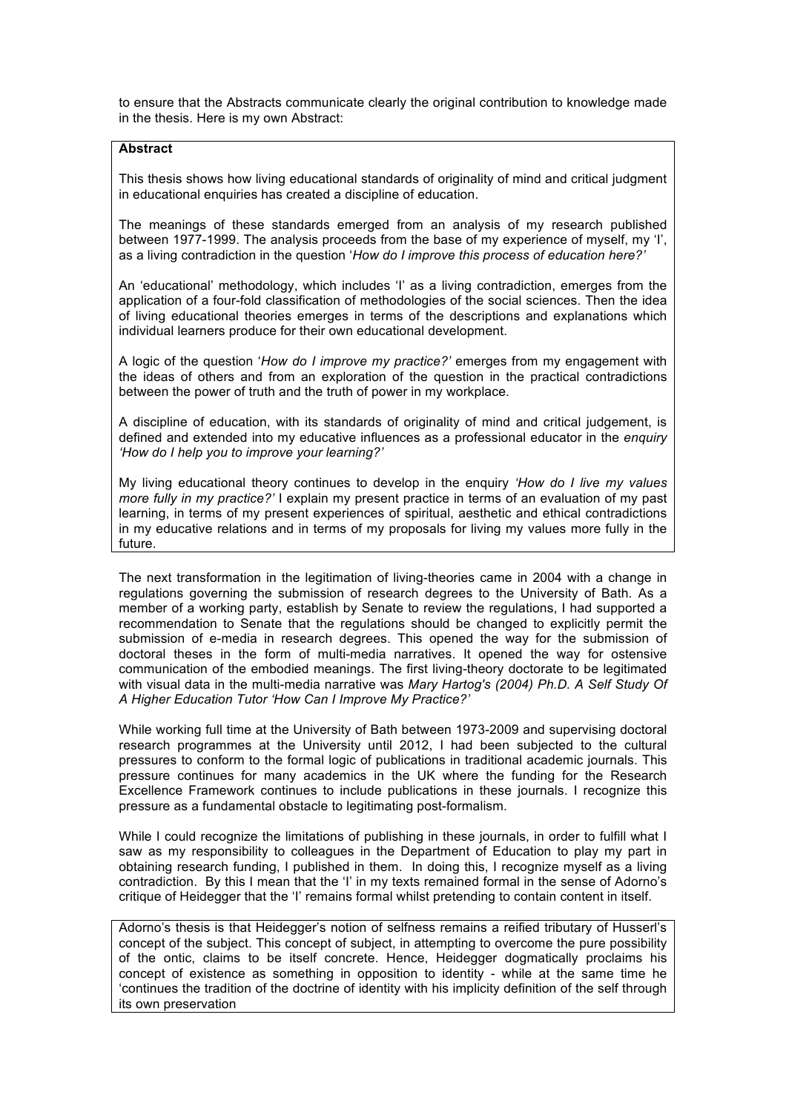to ensure that the Abstracts communicate clearly the original contribution to knowledge made in the thesis. Here is my own Abstract:

#### **Abstract**

This thesis shows how living educational standards of originality of mind and critical judgment in educational enquiries has created a discipline of education.

The meanings of these standards emerged from an analysis of my research published between 1977-1999. The analysis proceeds from the base of my experience of myself, my 'I', as a living contradiction in the question '*How do I improve this process of education here?'*

An 'educational' methodology, which includes 'I' as a living contradiction, emerges from the application of a four-fold classification of methodologies of the social sciences. Then the idea of living educational theories emerges in terms of the descriptions and explanations which individual learners produce for their own educational development.

A logic of the question '*How do I improve my practice?'* emerges from my engagement with the ideas of others and from an exploration of the question in the practical contradictions between the power of truth and the truth of power in my workplace.

A discipline of education, with its standards of originality of mind and critical judgement, is defined and extended into my educative influences as a professional educator in the *enquiry 'How do I help you to improve your learning?'*

My living educational theory continues to develop in the enquiry *'How do I live my values more fully in my practice?'* I explain my present practice in terms of an evaluation of my past learning, in terms of my present experiences of spiritual, aesthetic and ethical contradictions in my educative relations and in terms of my proposals for living my values more fully in the future.

The next transformation in the legitimation of living-theories came in 2004 with a change in regulations governing the submission of research degrees to the University of Bath. As a member of a working party, establish by Senate to review the regulations, I had supported a recommendation to Senate that the regulations should be changed to explicitly permit the submission of e-media in research degrees. This opened the way for the submission of doctoral theses in the form of multi-media narratives. It opened the way for ostensive communication of the embodied meanings. The first living-theory doctorate to be legitimated with visual data in the multi-media narrative was *Mary Hartog's (2004) Ph.D. A Self Study Of A Higher Education Tutor 'How Can I Improve My Practice?'*

While working full time at the University of Bath between 1973-2009 and supervising doctoral research programmes at the University until 2012, I had been subjected to the cultural pressures to conform to the formal logic of publications in traditional academic journals. This pressure continues for many academics in the UK where the funding for the Research Excellence Framework continues to include publications in these journals. I recognize this pressure as a fundamental obstacle to legitimating post-formalism.

While I could recognize the limitations of publishing in these journals, in order to fulfill what I saw as my responsibility to colleagues in the Department of Education to play my part in obtaining research funding, I published in them. In doing this, I recognize myself as a living contradiction. By this I mean that the 'I' in my texts remained formal in the sense of Adorno's critique of Heidegger that the 'I' remains formal whilst pretending to contain content in itself.

Adorno's thesis is that Heidegger's notion of selfness remains a reified tributary of Husserl's concept of the subject. This concept of subject, in attempting to overcome the pure possibility of the ontic, claims to be itself concrete. Hence, Heidegger dogmatically proclaims his concept of existence as something in opposition to identity - while at the same time he 'continues the tradition of the doctrine of identity with his implicity definition of the self through its own preservation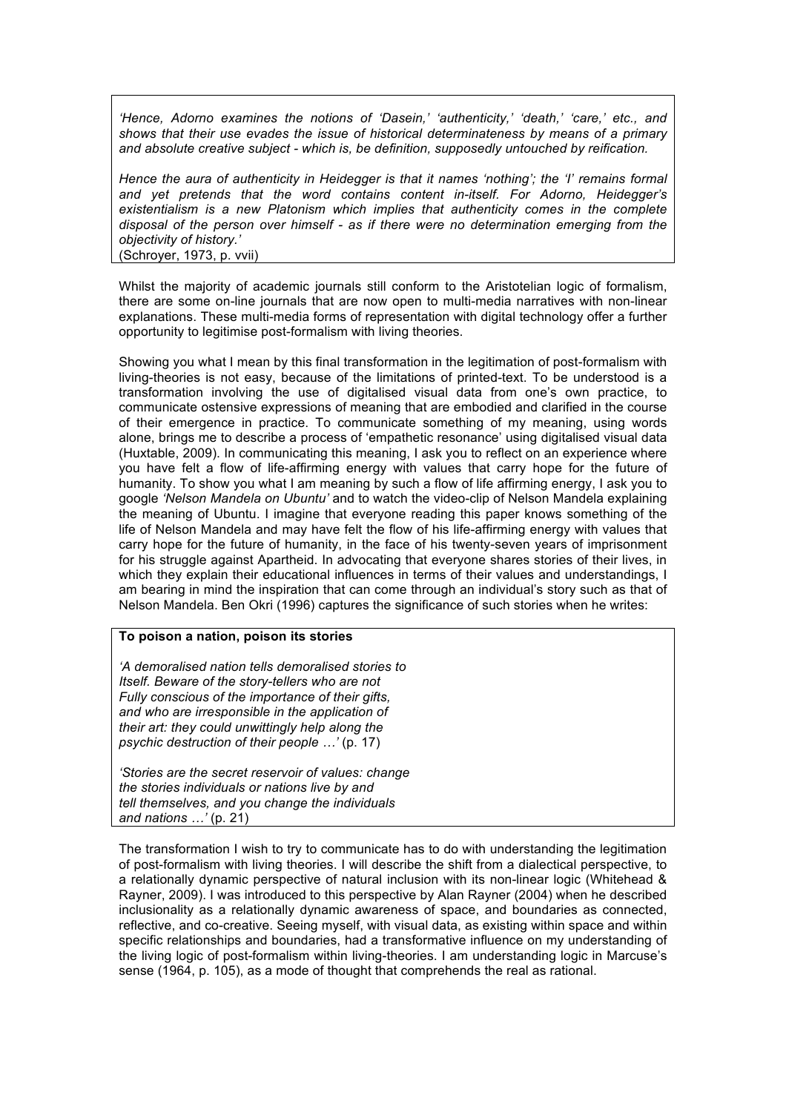*'Hence, Adorno examines the notions of 'Dasein,' 'authenticity,' 'death,' 'care,' etc., and shows that their use evades the issue of historical determinateness by means of a primary and absolute creative subject - which is, be definition, supposedly untouched by reification.*

*Hence the aura of authenticity in Heidegger is that it names 'nothing'; the 'I' remains formal and yet pretends that the word contains content in-itself. For Adorno, Heidegger's existentialism is a new Platonism which implies that authenticity comes in the complete disposal of the person over himself - as if there were no determination emerging from the objectivity of history.'* (Schroyer, 1973, p. vvii)

Whilst the majority of academic journals still conform to the Aristotelian logic of formalism, there are some on-line journals that are now open to multi-media narratives with non-linear explanations. These multi-media forms of representation with digital technology offer a further opportunity to legitimise post-formalism with living theories.

Showing you what I mean by this final transformation in the legitimation of post-formalism with living-theories is not easy, because of the limitations of printed-text. To be understood is a transformation involving the use of digitalised visual data from one's own practice, to communicate ostensive expressions of meaning that are embodied and clarified in the course of their emergence in practice. To communicate something of my meaning, using words alone, brings me to describe a process of 'empathetic resonance' using digitalised visual data (Huxtable, 2009). In communicating this meaning, I ask you to reflect on an experience where you have felt a flow of life-affirming energy with values that carry hope for the future of humanity. To show you what I am meaning by such a flow of life affirming energy, I ask you to google *'Nelson Mandela on Ubuntu'* and to watch the video-clip of Nelson Mandela explaining the meaning of Ubuntu. I imagine that everyone reading this paper knows something of the life of Nelson Mandela and may have felt the flow of his life-affirming energy with values that carry hope for the future of humanity, in the face of his twenty-seven years of imprisonment for his struggle against Apartheid. In advocating that everyone shares stories of their lives, in which they explain their educational influences in terms of their values and understandings, I am bearing in mind the inspiration that can come through an individual's story such as that of Nelson Mandela. Ben Okri (1996) captures the significance of such stories when he writes:

#### **To poison a nation, poison its stories**

*'A demoralised nation tells demoralised stories to Itself. Beware of the story-tellers who are not Fully conscious of the importance of their gifts, and who are irresponsible in the application of their art: they could unwittingly help along the psychic destruction of their people …'* (p. 17)

*'Stories are the secret reservoir of values: change the stories individuals or nations live by and tell themselves, and you change the individuals and nations …'* (p. 21)

The transformation I wish to try to communicate has to do with understanding the legitimation of post-formalism with living theories. I will describe the shift from a dialectical perspective, to a relationally dynamic perspective of natural inclusion with its non-linear logic (Whitehead & Rayner, 2009). I was introduced to this perspective by Alan Rayner (2004) when he described inclusionality as a relationally dynamic awareness of space, and boundaries as connected, reflective, and co-creative. Seeing myself, with visual data, as existing within space and within specific relationships and boundaries, had a transformative influence on my understanding of the living logic of post-formalism within living-theories. I am understanding logic in Marcuse's sense (1964, p. 105), as a mode of thought that comprehends the real as rational.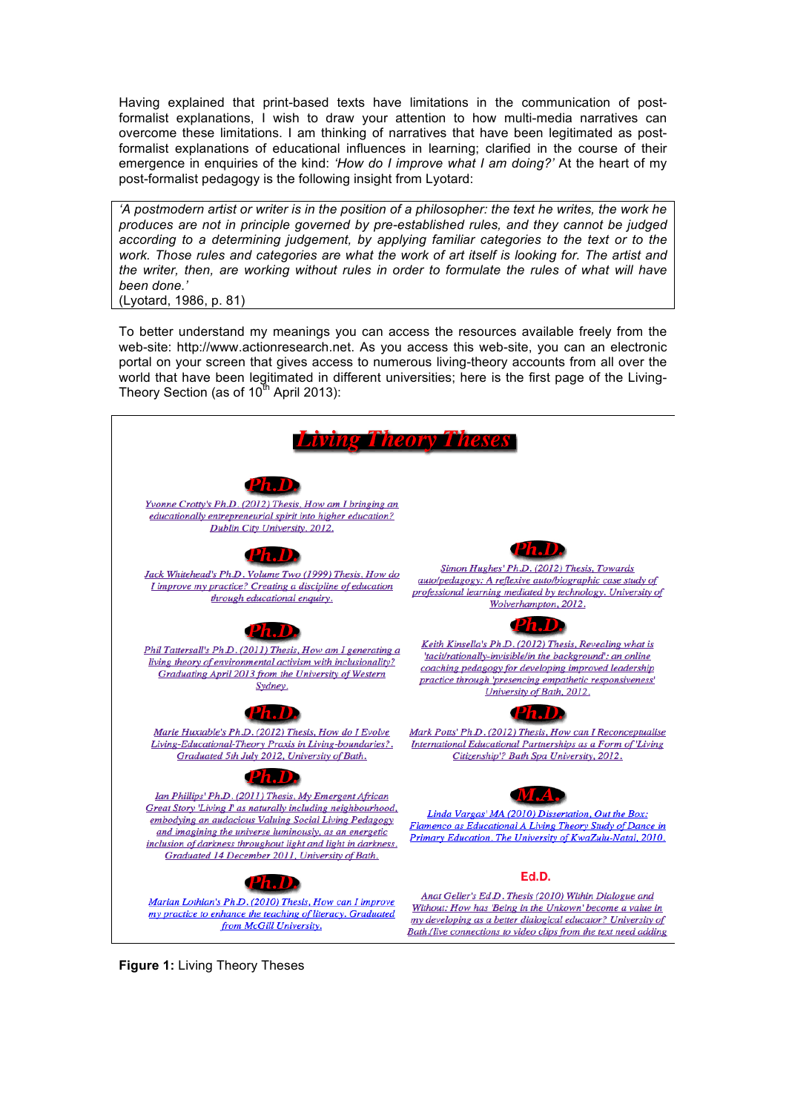Having explained that print-based texts have limitations in the communication of postformalist explanations, I wish to draw your attention to how multi-media narratives can overcome these limitations. I am thinking of narratives that have been legitimated as postformalist explanations of educational influences in learning; clarified in the course of their emergence in enquiries of the kind: *'How do I improve what I am doing?'* At the heart of my post-formalist pedagogy is the following insight from Lyotard:

*'A postmodern artist or writer is in the position of a philosopher: the text he writes, the work he produces are not in principle governed by pre-established rules, and they cannot be judged according to a determining judgement, by applying familiar categories to the text or to the*  work. Those rules and categories are what the work of art itself is looking for. The artist and *the writer, then, are working without rules in order to formulate the rules of what will have been done.'* (Lyotard, 1986, p. 81)

To better understand my meanings you can access the resources available freely from the web-site: http://www.actionresearch.net. As you access this web-site, you can an electronic portal on your screen that gives access to numerous living-theory accounts from all over the world that have been legitimated in different universities; here is the first page of the Living-Theory Section (as of  $10^{th}$  April 2013):



**Figure 1:** Living Theory Theses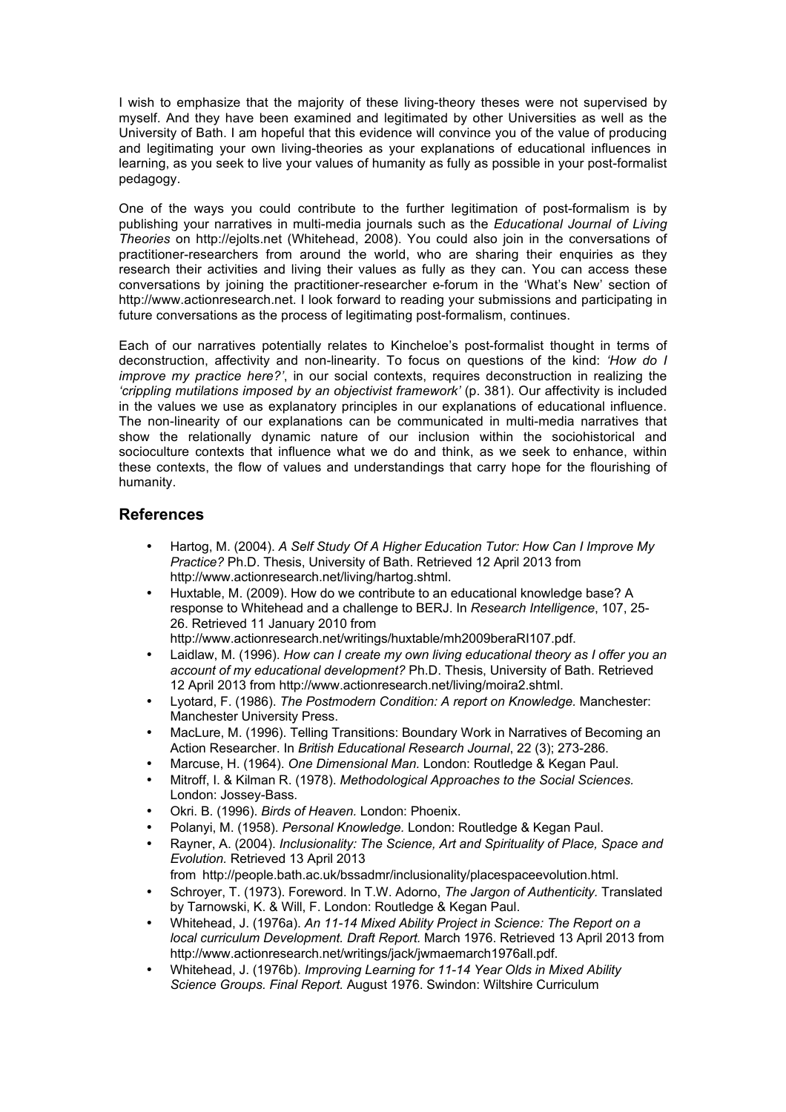I wish to emphasize that the majority of these living-theory theses were not supervised by myself. And they have been examined and legitimated by other Universities as well as the University of Bath. I am hopeful that this evidence will convince you of the value of producing and legitimating your own living-theories as your explanations of educational influences in learning, as you seek to live your values of humanity as fully as possible in your post-formalist pedagogy.

One of the ways you could contribute to the further legitimation of post-formalism is by publishing your narratives in multi-media journals such as the *Educational Journal of Living Theories* on http://ejolts.net (Whitehead, 2008). You could also join in the conversations of practitioner-researchers from around the world, who are sharing their enquiries as they research their activities and living their values as fully as they can. You can access these conversations by joining the practitioner-researcher e-forum in the 'What's New' section of http://www.actionresearch.net. I look forward to reading your submissions and participating in future conversations as the process of legitimating post-formalism, continues.

Each of our narratives potentially relates to Kincheloe's post-formalist thought in terms of deconstruction, affectivity and non-linearity. To focus on questions of the kind: *'How do I improve my practice here?'*, in our social contexts, requires deconstruction in realizing the *'crippling mutilations imposed by an objectivist framework'* (p. 381). Our affectivity is included in the values we use as explanatory principles in our explanations of educational influence. The non-linearity of our explanations can be communicated in multi-media narratives that show the relationally dynamic nature of our inclusion within the sociohistorical and socioculture contexts that influence what we do and think, as we seek to enhance, within these contexts, the flow of values and understandings that carry hope for the flourishing of humanity.

### **References**

- Hartog, M. (2004). *A Self Study Of A Higher Education Tutor: How Can I Improve My Practice?* Ph.D. Thesis, University of Bath. Retrieved 12 April 2013 from http://www.actionresearch.net/living/hartog.shtml.
- Huxtable, M. (2009). How do we contribute to an educational knowledge base? A response to Whitehead and a challenge to BERJ. In *Research Intelligence*, 107, 25- 26. Retrieved 11 January 2010 from

http://www.actionresearch.net/writings/huxtable/mh2009beraRI107.pdf.

- Laidlaw, M. (1996). *How can I create my own living educational theory as I offer you an account of my educational development?* Ph.D. Thesis, University of Bath. Retrieved 12 April 2013 from http://www.actionresearch.net/living/moira2.shtml.
- Lyotard, F. (1986). *The Postmodern Condition: A report on Knowledge.* Manchester: Manchester University Press.
- MacLure, M. (1996). Telling Transitions: Boundary Work in Narratives of Becoming an Action Researcher. In *British Educational Research Journal*, 22 (3); 273-286.
- Marcuse, H. (1964). *One Dimensional Man.* London: Routledge & Kegan Paul.
- Mitroff, I. & Kilman R. (1978). *Methodological Approaches to the Social Sciences.* London: Jossey-Bass.
- Okri. B. (1996). *Birds of Heaven.* London: Phoenix.
- Polanyi, M. (1958). *Personal Knowledge.* London: Routledge & Kegan Paul.
- Rayner, A. (2004). *Inclusionality: The Science, Art and Spirituality of Place, Space and Evolution.* Retrieved 13 April 2013 from http://people.bath.ac.uk/bssadmr/inclusionality/placespaceevolution.html.
- Schroyer, T. (1973). Foreword. In T.W. Adorno, *The Jargon of Authenticity.* Translated by Tarnowski, K. & Will, F. London: Routledge & Kegan Paul.
- Whitehead, J. (1976a). *An 11-14 Mixed Ability Project in Science: The Report on a local curriculum Development. Draft Report.* March 1976. Retrieved 13 April 2013 from http://www.actionresearch.net/writings/jack/jwmaemarch1976all.pdf.
- Whitehead, J. (1976b). *Improving Learning for 11-14 Year Olds in Mixed Ability Science Groups. Final Report.* August 1976. Swindon: Wiltshire Curriculum